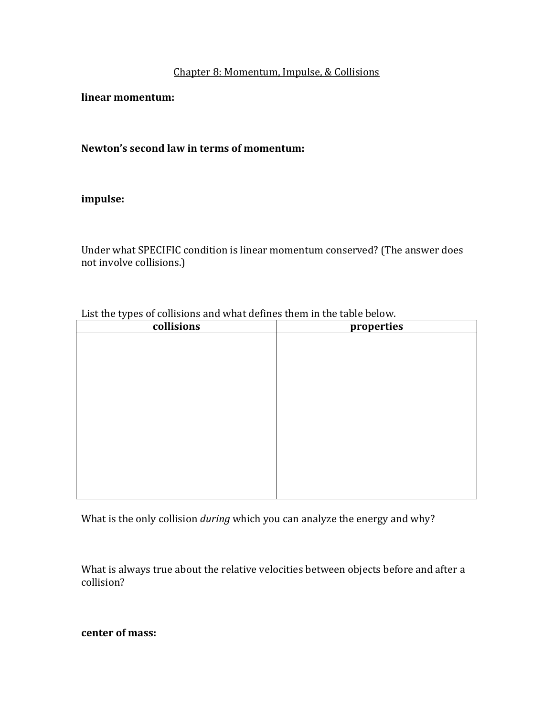## Chapter 8: Momentum, Impulse, & Collisions

**linear momentum:**

Newton's second law in terms of momentum:

### **impulse:**

Under what SPECIFIC condition is linear momentum conserved? (The answer does not involve collisions.)

| List the types of collisions and what defines them in the table below. |  |  |  |
|------------------------------------------------------------------------|--|--|--|
|                                                                        |  |  |  |

| collisions | properties |  |  |
|------------|------------|--|--|
|            |            |  |  |
|            |            |  |  |
|            |            |  |  |
|            |            |  |  |
|            |            |  |  |
|            |            |  |  |
|            |            |  |  |
|            |            |  |  |
|            |            |  |  |
|            |            |  |  |
|            |            |  |  |
|            |            |  |  |
|            |            |  |  |

What is the only collision *during* which you can analyze the energy and why?

What is always true about the relative velocities between objects before and after a collision? 

**center of mass:**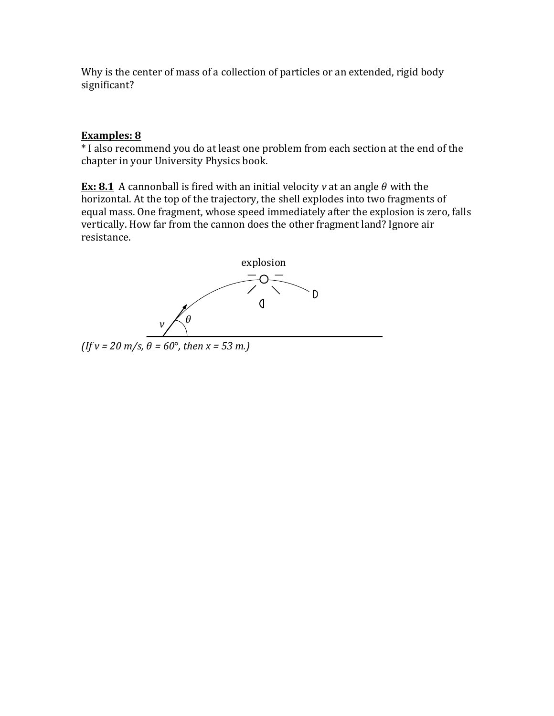Why is the center of mass of a collection of particles or an extended, rigid body significant?

## **Examples: 8**

\* I also recommend you do at least one problem from each section at the end of the chapter in your University Physics book.

**Ex:** 8.1 A cannonball is fired with an initial velocity *v* at an angle  $\theta$  with the horizontal. At the top of the trajectory, the shell explodes into two fragments of equal mass. One fragment, whose speed immediately after the explosion is zero, falls vertically. How far from the cannon does the other fragment land? Ignore air resistance.



 $(If v = 20 m/s, \theta = 60^{\circ}, then x = 53 m.)$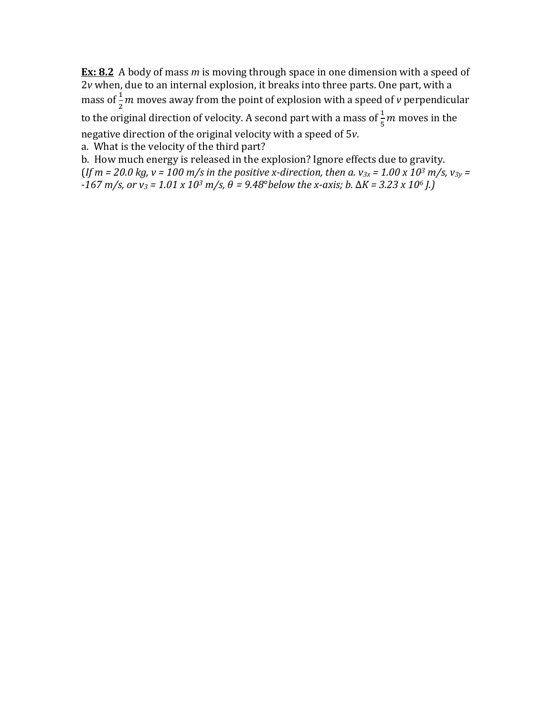**Ex:** 8.2 A body of mass *m* is moving through space in one dimension with a speed of 2*v* when, due to an internal explosion, it breaks into three parts. One part, with a mass of  $\frac{1}{2}m$  moves away from the point of explosion with a speed of *v* perpendicular to the original direction of velocity. A second part with a mass of  $\frac{1}{5}m$  moves in the negative direction of the original velocity with a speed of 5v. a. What is the velocity of the third part?

b. How much energy is released in the explosion? Ignore effects due to gravity.  $($ *If*  $m = 20.0 \text{ kg}, v = 100 \text{ m/s}$  *in the positive x-direction, then a.*  $v_{3x} = 1.00 \times 10^3 \text{ m/s}, v_{3y} =$  $-167 \text{ m/s}$ , or  $v_3 = 1.01 \times 10^3 \text{ m/s}$ ,  $\theta = 9.48^\circ$ below the x-axis; *b.*  $\Delta K = 3.23 \times 10^6$  *J.*)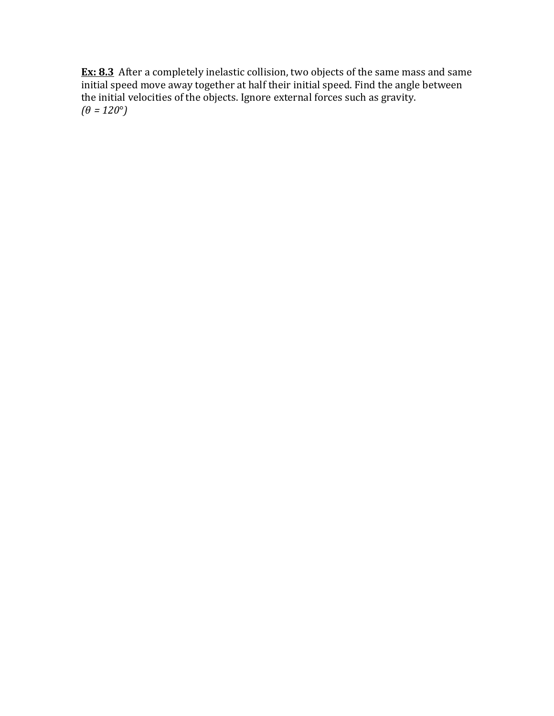**Ex: 8.3** After a completely inelastic collision, two objects of the same mass and same  $\overline{\text{initial}}$  speed move away together at half their initial speed. Find the angle between the initial velocities of the objects. Ignore external forces such as gravity.  $(\theta = 120^{\circ})$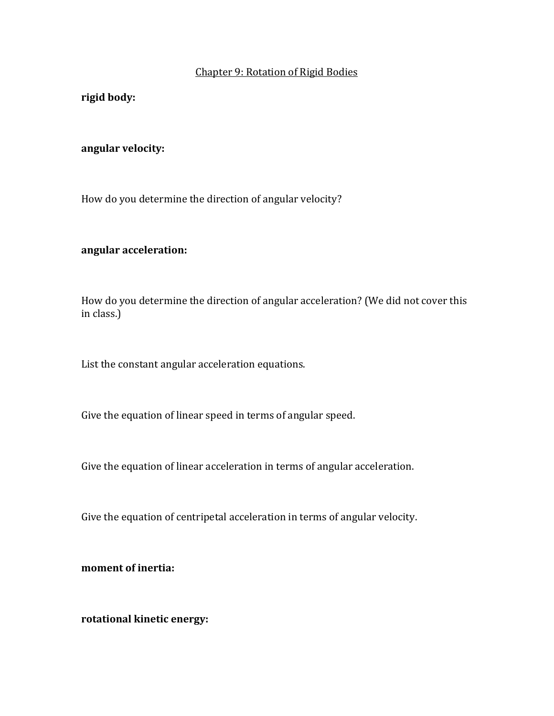### Chapter 9: Rotation of Rigid Bodies

**rigid body:**

#### **angular velocity:**

How do you determine the direction of angular velocity?

## **angular acceleration:**

How do you determine the direction of angular acceleration? (We did not cover this in class.)

List the constant angular acceleration equations.

Give the equation of linear speed in terms of angular speed.

Give the equation of linear acceleration in terms of angular acceleration.

Give the equation of centripetal acceleration in terms of angular velocity.

**moment** of inertia:

**rotational kinetic energy:**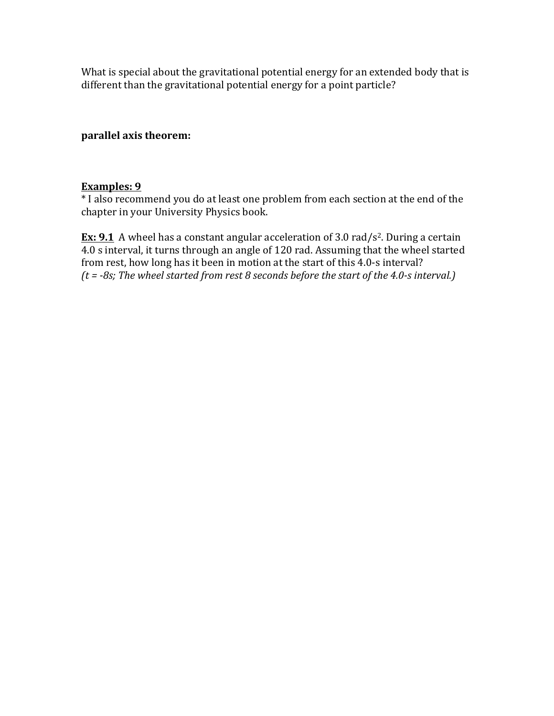What is special about the gravitational potential energy for an extended body that is different than the gravitational potential energy for a point particle?

## **parallel axis theorem:**

## **Examples: 9**

\* I also recommend you do at least one problem from each section at the end of the chapter in your University Physics book.

**Ex: 9.1** A wheel has a constant angular acceleration of 3.0 rad/s<sup>2</sup>. During a certain 4.0 s interval, it turns through an angle of 120 rad. Assuming that the wheel started from rest, how long has it been in motion at the start of this 4.0-s interval? *(t* = -8s; The wheel started from rest 8 seconds before the start of the 4.0-s interval.)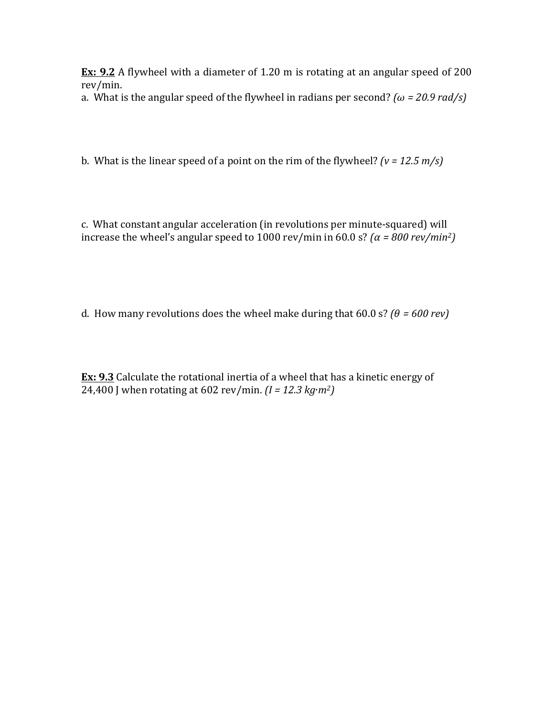**Ex:** 9.2 A flywheel with a diameter of 1.20 m is rotating at an angular speed of 200 rev/min.

a. What is the angular speed of the flywheel in radians per second? *(* $\omega$  *= 20.9 rad/s)* 

b. What is the linear speed of a point on the rim of the flywheel?  $(v = 12.5 \text{ m/s})$ 

c. What constant angular acceleration (in revolutions per minute-squared) will increase the wheel's angular speed to 1000 rev/min in 60.0 s? *(* $\alpha$  *= 800 rev/min<sup>2</sup>)* 

d. How many revolutions does the wheel make during that  $60.0 \text{ s?}$  *(* $\theta = 600 \text{ rev}$ *)* 

**Ex: 9.3** Calculate the rotational inertia of a wheel that has a kinetic energy of 24,400 J when rotating at  $602 \, \text{rev/min}$ .  $(I = 12.3 \, \text{kg} \cdot \text{m}^2)$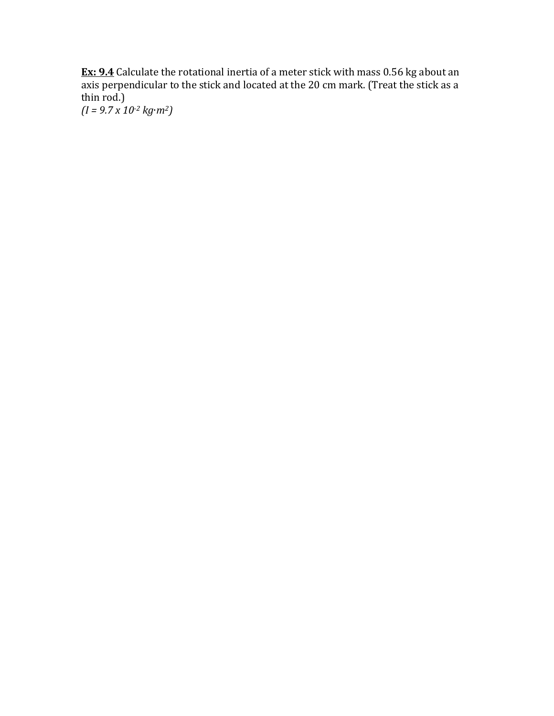**Ex: 9.4** Calculate the rotational inertia of a meter stick with mass 0.56 kg about an axis perpendicular to the stick and located at the 20 cm mark. (Treat the stick as a thin rod.)

*(I = 9.7 x 10-2 kg*∙*m2)*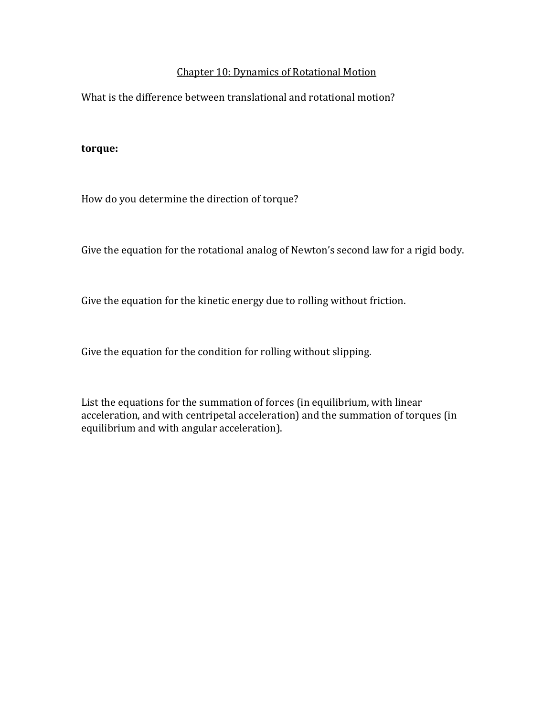### Chapter 10: Dynamics of Rotational Motion

What is the difference between translational and rotational motion?

#### **torque:**

How do you determine the direction of torque?

Give the equation for the rotational analog of Newton's second law for a rigid body.

Give the equation for the kinetic energy due to rolling without friction.

Give the equation for the condition for rolling without slipping.

List the equations for the summation of forces (in equilibrium, with linear acceleration, and with centripetal acceleration) and the summation of torques (in equilibrium and with angular acceleration).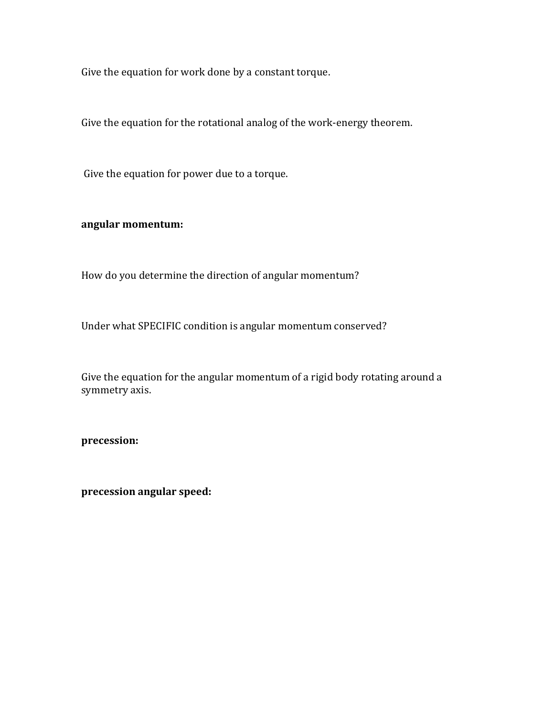Give the equation for work done by a constant torque.

Give the equation for the rotational analog of the work-energy theorem.

Give the equation for power due to a torque.

## **angular momentum:**

How do you determine the direction of angular momentum?

Under what SPECIFIC condition is angular momentum conserved?

Give the equation for the angular momentum of a rigid body rotating around a symmetry axis.

**precession:**

**precession angular speed:**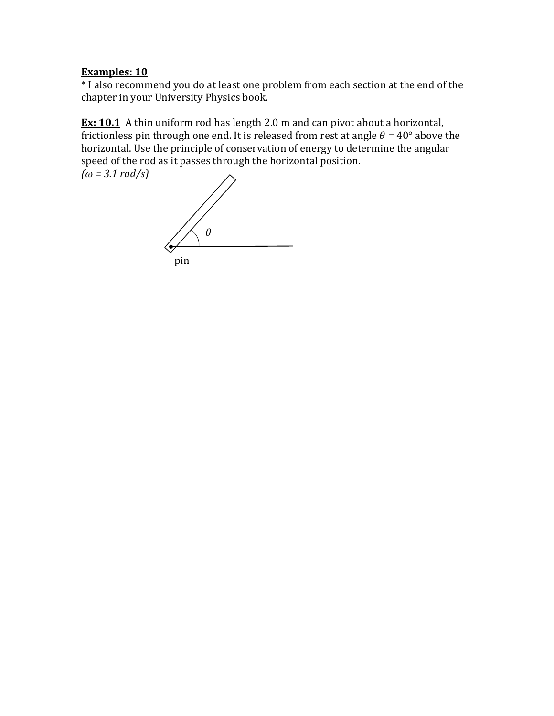# **Examples: 10**

\* I also recommend you do at least one problem from each section at the end of the chapter in your University Physics book.

**Ex: 10.1** A thin uniform rod has length 2.0 m and can pivot about a horizontal, frictionless pin through one end. It is released from rest at angle  $\theta = 40^{\circ}$  above the horizontal. Use the principle of conservation of energy to determine the angular speed of the rod as it passes through the horizontal position.  $(\omega = 3.1 \text{ rad/s})$ 

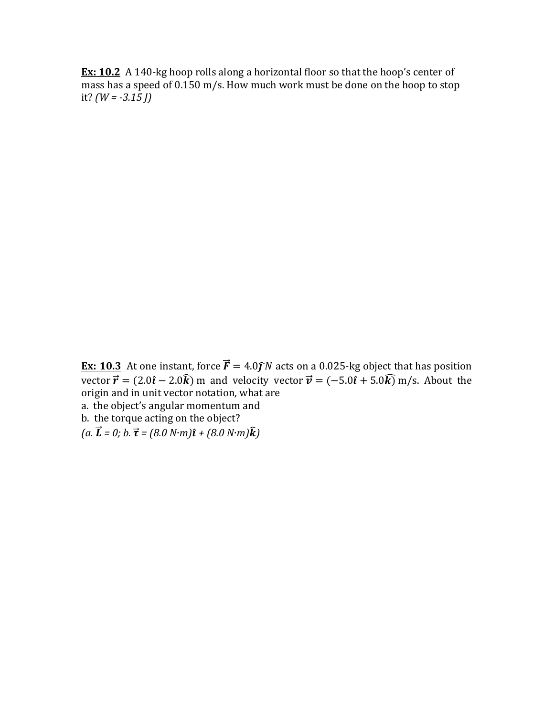**Ex:** 10.2 A 140-kg hoop rolls along a horizontal floor so that the hoop's center of mass has a speed of  $0.150$  m/s. How much work must be done on the hoop to stop it?  $(W = -3.15$  *J*)

**Ex: 10.3** At one instant, force  $\vec{F} = 4.0 \hat{j}N$  acts on a 0.025-kg object that has position vector  $\vec{r} = (2.0\hat{i} - 2.0\hat{k})$  m and velocity vector  $\vec{v} = (-5.0\hat{i} + 5.0\hat{k})$  m/s. About the origin and in unit vector notation, what are a. the object's angular momentum and

b. the torque acting on the object?

 $(a, \vec{L} = 0; b, \vec{\tau} = (8.0 \text{ N} \cdot \text{m})\hat{\imath} + (8.0 \text{ N} \cdot \text{m})\hat{k})$